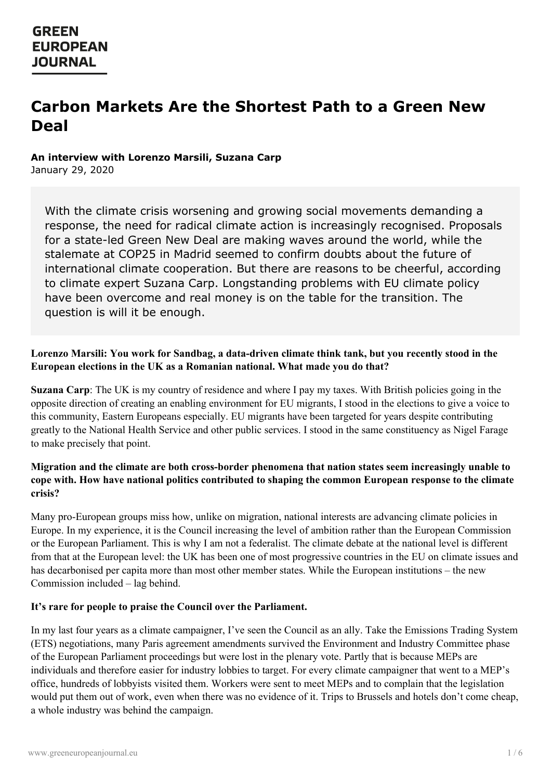# **Carbon Markets Are the Shortest Path to a Green New Deal**

## **An interview with Lorenzo Marsili, Suzana Carp**

January 29, 2020

With the climate crisis worsening and growing social movements demanding a response, the need for radical climate action is increasingly recognised. Proposals for a state-led Green New Deal are making waves around the world, while the stalemate at COP25 in Madrid seemed to confirm doubts about the future of international climate cooperation. But there are reasons to be cheerful, according to climate expert Suzana Carp. Longstanding problems with EU climate policy have been overcome and real money is on the table for the transition. The question is will it be enough.

## **Lorenzo Marsili: You work for Sandbag, a data-driven climate think tank, but you recently stood in the European elections in the UK as a Romanian national. What made you do that?**

**Suzana Carp**: The UK is my country of residence and where I pay my taxes. With British policies going in the opposite direction of creating an enabling environment for EU migrants, I stood in the elections to give a voice to this community, Eastern Europeans especially. EU migrants have been targeted for years despite contributing greatly to the National Health Service and other public services. I stood in the same constituency as Nigel Farage to make precisely that point.

## **Migration and the climate are both cross-border phenomena that nation states seem increasingly unable to cope with. How have national politics contributed to shaping the common European response to the climate crisis?**

Many pro-European groups miss how, unlike on migration, national interests are advancing climate policies in Europe. In my experience, it is the Council increasing the level of ambition rather than the European Commission or the European Parliament. This is why I am not a federalist. The climate debate at the national level is different from that at the European level: the UK has been one of most progressive countries in the EU on climate issues and has decarbonised per capita more than most other member states. While the European institutions – the new Commission included – lag behind.

## **It's rare for people to praise the Council over the Parliament.**

In my last four years as a climate campaigner, I've seen the Council as an ally. Take the Emissions Trading System (ETS) negotiations, many Paris agreement amendments survived the Environment and Industry Committee phase of the [European](https://www.greeneuropeanjournal.eu) Parliament proceedings but were lost in the plenary vote. Partly that is because MEPs are individuals and therefore easier for industry lobbies to target. For every climate campaigner that went to a MEP's office, hundreds of lobbyists visited them. Workers were sent to meet MEPs and to complain that the legislation would put them out of work, even when there was no evidence of it. Trips to Brussels and hotels don't come cheap, a whole industry was behind the campaign.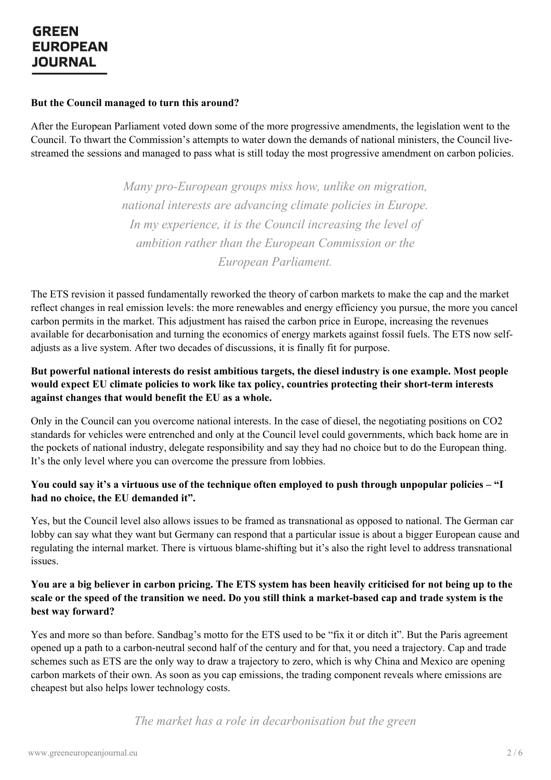### **But the Council managed to turn this around?**

After the European Parliament voted down some of the more progressive amendments, the legislation went to the Council. To thwart the Commission's attempts to water down the demands of national ministers, the Council livestreamed the sessions and managed to pass what is still today the most progressive amendment on carbon policies.

> *Many pro-European groups miss how, unlike on migration, national interests are advancing climate policies in Europe. In my experience, it is the Council increasing the level of ambition rather than the European Commission or the European Parliament.*

The ETS revision it passed fundamentally reworked the theory of carbon markets to make the cap and the market reflect changes in real emission levels: the more renewables and energy efficiency you pursue, the more you cancel carbon permits in the market. This adjustment has raised the carbon price in Europe, increasing the revenues available for decarbonisation and turning the economics of energy markets against fossil fuels. The ETS now selfadjusts as a live system. After two decades of discussions, it is finally fit for purpose.

## **But powerful national interests do resist ambitious targets, the diesel industry is one example. Most people would expect EU climate policies to work like tax policy, countries protecting their short-term interests against changes that would benefit the EU as a whole.**

Only in the Council can you overcome national interests. In the case of diesel, the negotiating positions on CO2 standards for vehicles were entrenched and only at the Council level could governments, which back home are in the pockets of national industry, delegate responsibility and say they had no choice but to do the European thing. It's the only level where you can overcome the pressure from lobbies.

## You could say it's a virtuous use of the technique often employed to push through unpopular policies - "I **had no choice, the EU demanded it".**

Yes, but the Council level also allows issues to be framed as transnational as opposed to national. The German car lobby can say what they want but Germany can respond that a particular issue is about a bigger European cause and regulating the internal market. There is virtuous blame-shifting but it's also the right level to address transnational issues.

### You are a big believer in carbon pricing. The ETS system has been heavily criticised for not being up to the scale or the speed of the transition we need. Do you still think a market-based cap and trade system is the **best way forward?**

Yes and more so than before. Sandbag's motto for the ETS used to be "fix it or ditch it". But the Paris agreement opened up a path to a carbon-neutral second half of the century and for that, you need a trajectory. Cap and trade [schemes](https://www.greeneuropeanjournal.eu) such as ETS are the only way to draw a trajectory to zero, which is why China and Mexico are opening carbon markets of their own. As soon as you cap emissions, the trading component reveals where emissions are cheapest but also helps lower technology costs.

*The market has a role in decarbonisation but the green*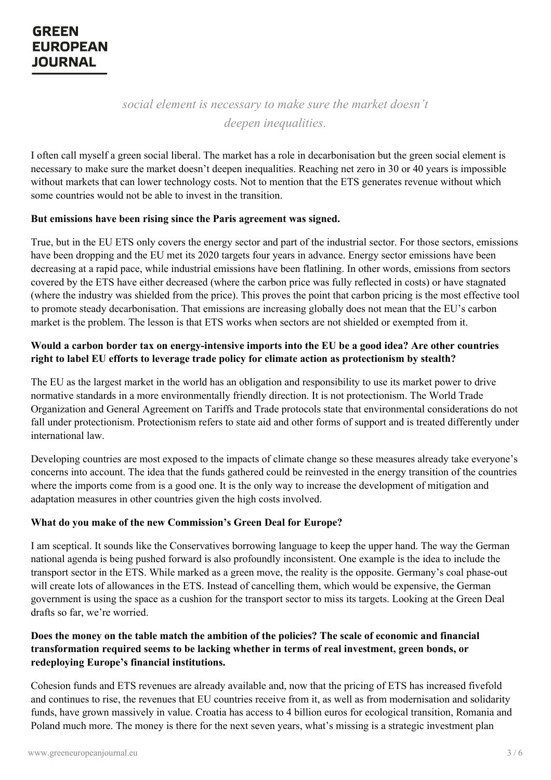*social element is necessary to make sure the market doesn't deepen inequalities.*

I often call myself a green social liberal. The market has a role in decarbonisation but the green social element is necessary to make sure the market doesn't deepen inequalities. Reaching net zero in 30 or 40 years is impossible without markets that can lower technology costs. Not to mention that the ETS generates revenue without which some countries would not be able to invest in the transition.

### **But emissions have been rising since the Paris agreement was signed.**

True, but in the EU ETS only covers the energy sector and part of the industrial sector. For those sectors, emissions have been dropping and the EU met its 2020 targets four years in advance. Energy sector emissions have been decreasing at a rapid pace, while industrial emissions have been flatlining. In other words, emissions from sectors covered by the ETS have either decreased (where the carbon price was fully reflected in costs) or have stagnated (where the industry was shielded from the price). This proves the point that carbon pricing is the most effective tool to promote steady decarbonisation. That emissions are increasing globally does not mean that the EU's carbon market is the problem. The lesson is that ETS works when sectors are not shielded or exempted from it.

## Would a carbon border tax on energy-intensive imports into the EU be a good idea? Are other countries **right to label EU efforts to leverage trade policy for climate action as protectionism by stealth?**

The EU as the largest market in the world has an obligation and responsibility to use its market power to drive normative standards in a more environmentally friendly direction. It is not protectionism. The World Trade Organization and General Agreement on Tariffs and Trade protocols state that environmental considerations do not fall under protectionism. Protectionism refers to state aid and other forms of support and is treated differently under international law.

Developing countries are most exposed to the impacts of climate change so these measures already take everyone's concerns into account. The idea that the funds gathered could be reinvested in the energy transition of the countries where the imports come from is a good one. It is the only way to increase the development of mitigation and adaptation measures in other countries given the high costs involved.

## **What do you make of the new Commission's Green Deal for Europe?**

I am sceptical. It sounds like the Conservatives borrowing language to keep the upper hand. The way the German national agenda is being pushed forward is also profoundly inconsistent. One example is the idea to include the transport sector in the ETS. While marked as a green move, the reality is the opposite. Germany's coal phase-out will create lots of allowances in the ETS. Instead of cancelling them, which would be expensive, the German government is using the space as a cushion for the transport sector to miss its targets. Looking at the Green Deal drafts so far, we're worried.

## Does the money on the table match the ambition of the policies? The scale of economic and financial **[transformation](https://www.greeneuropeanjournal.eu) required seems to be lacking whether in terms of real investment, green bonds, or redeploying Europe's financial institutions.**

Cohesion funds and ETS revenues are already available and, now that the pricing of ETS has increased fivefold and continues to rise, the revenues that EU countries receive from it, as well as from modernisation and solidarity funds, have grown massively in value. Croatia has access to 4 billion euros for ecological transition, Romania and Poland much more. The money is there for the next seven years, what's missing is a strategic investment plan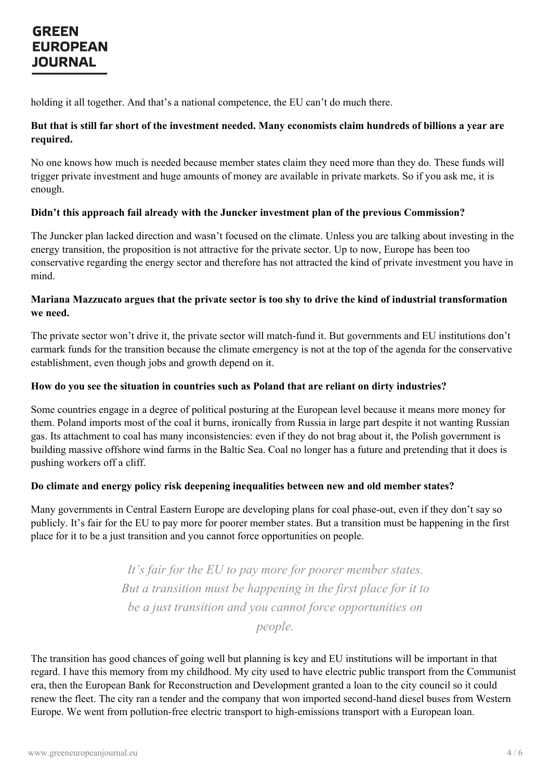holding it all together. And that's a national competence, the EU can't do much there.

## But that is still far short of the investment needed. Many economists claim hundreds of billions a year are **required.**

No one knows how much is needed because member states claim they need more than they do. These funds will trigger private investment and huge amounts of money are available in private markets. So if you ask me, it is enough.

## **Didn't this approach fail already with the Juncker investment plan of the previous Commission?**

The Juncker plan lacked direction and wasn't focused on the climate. Unless you are talking about investing in the energy transition, the proposition is not attractive for the private sector. Up to now, Europe has been too conservative regarding the energy sector and therefore has not attracted the kind of private investment you have in mind.

## Mariana Mazzucato argues that the private sector is too shy to drive the kind of industrial transformation **we need.**

The private sector won't drive it, the private sector will match-fund it. But governments and EU institutions don't earmark funds for the transition because the climate emergency is not at the top of the agenda for the conservative establishment, even though jobs and growth depend on it.

### **How do you see the situation in countries such as Poland that are reliant on dirty industries?**

Some countries engage in a degree of political posturing at the European level because it means more money for them. Poland imports most of the coal it burns, ironically from Russia in large part despite it not wanting Russian gas. Its attachment to coal has many inconsistencies: even if they do not brag about it, the Polish government is building massive offshore wind farms in the Baltic Sea. Coal no longer has a future and pretending that it does is pushing workers off a cliff.

### **Do climate and energy policy risk deepening inequalities between new and old member states?**

Many governments in Central Eastern Europe are developing plans for coal phase-out, even if they don't say so publicly. It's fair for the EU to pay more for poorer member states. But a transition must be happening in the first place for it to be a just transition and you cannot force opportunities on people.

> *It's fair for the EU to pay more for poorer member states. But a transition must be happening in the first place for it to be a just transition and you cannot force opportunities on people.*

The [transition](https://www.greeneuropeanjournal.eu) has good chances of going well but planning is key and EU institutions will be important in that regard. I have this memory from my childhood. My city used to have electric public transport from the Communist era, then the European Bank for Reconstruction and Development granted a loan to the city council so it could renew the fleet. The city ran a tender and the company that won imported second-hand diesel buses from Western Europe. We went from pollution-free electric transport to high-emissions transport with a European loan.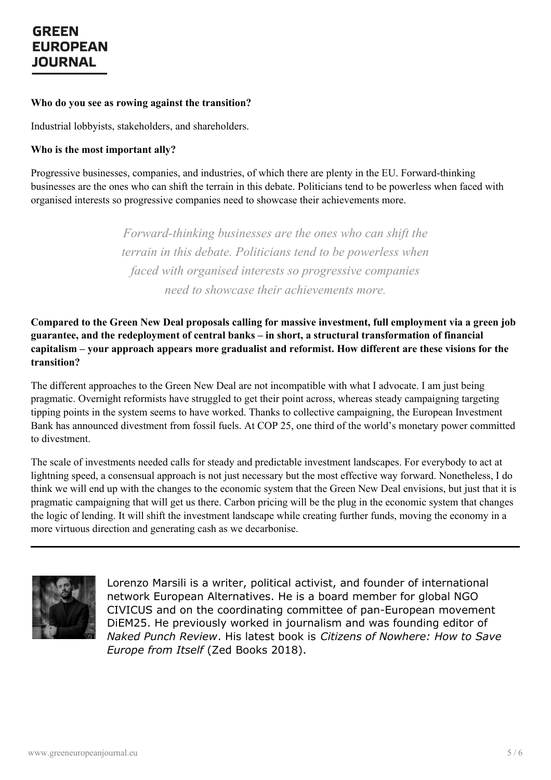#### **Who do you see as rowing against the transition?**

Industrial lobbyists, stakeholders, and shareholders.

#### **Who is the most important ally?**

Progressive businesses, companies, and industries, of which there are plenty in the EU. Forward-thinking businesses are the ones who can shift the terrain in this debate. Politicians tend to be powerless when faced with organised interests so progressive companies need to showcase their achievements more.

> *Forward-thinking businesses are the ones who can shift the terrain in this debate. Politicians tend to be powerless when faced with organised interests so progressive companies need to showcase their achievements more.*

**Compared to the Green New Deal proposals calling for massive investment, full employment via a green job guarantee, and the redeployment of central banks – in short, a structural transformation of financial capitalism – your approach appears more gradualist and reformist. How different are these visions for the transition?**

The different approaches to the Green New Deal are not incompatible with what I advocate. I am just being pragmatic. Overnight reformists have struggled to get their point across, whereas steady campaigning targeting tipping points in the system seems to have worked. Thanks to collective campaigning, the European Investment Bank has announced divestment from fossil fuels. At COP 25, one third of the world's monetary power committed to divestment.

The scale of investments needed calls for steady and predictable investment landscapes. For everybody to act at lightning speed, a consensual approach is not just necessary but the most effective way forward. Nonetheless, I do think we will end up with the changes to the economic system that the Green New Deal envisions, but just that it is pragmatic campaigning that will get us there. Carbon pricing will be the plug in the economic system that changes the logic of lending. It will shift the investment landscape while creating further funds, moving the economy in a more virtuous direction and generating cash as we decarbonise.



Lorenzo Marsili is a writer, political activist, and founder of international network European Alternatives. He is a board member for global NGO CIVICUS and on the coordinating committee of pan-European movement DiEM25. He previously worked in journalism and was founding editor of *Naked Punch Review*. His latest book is *Citizens of Nowhere: How to Save [Europ](https://www.greeneuropeanjournal.eu)e from Itself* (Zed Books 2018).